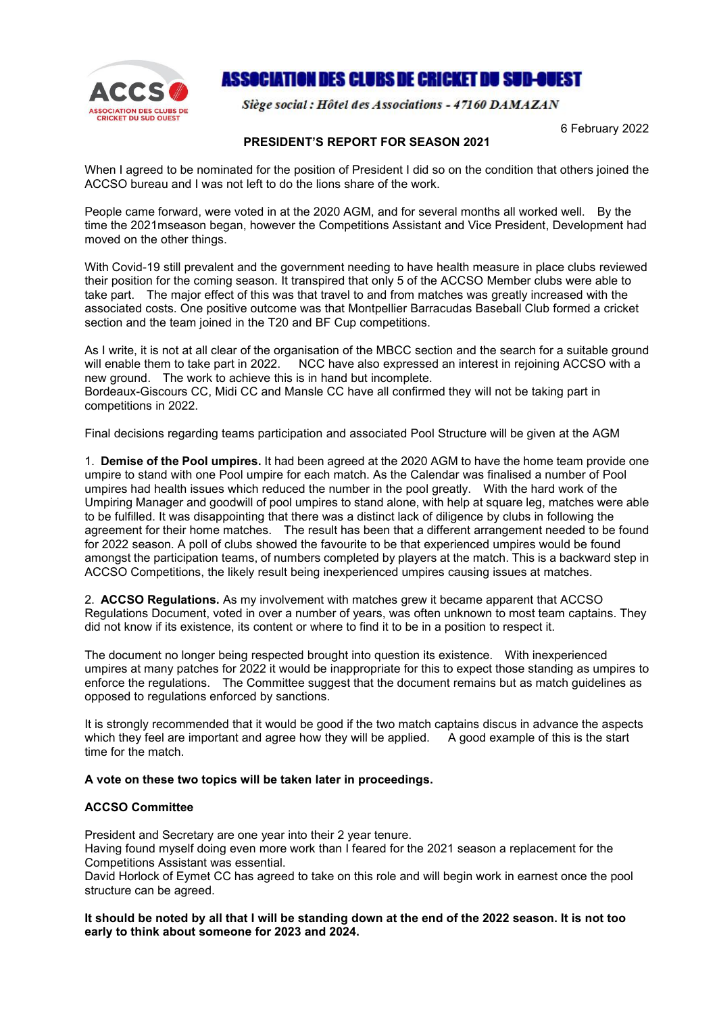

## ASSOCIATION DES CLUBS DE CRICKET DU SUD-OUEST

Siège social : Hôtel des Associations - 47160 DAMAZAN

6 February 2022

## **PRESIDENT'S REPORT FOR SEASON 2021**

When I agreed to be nominated for the position of President I did so on the condition that others joined the ACCSO bureau and I was not left to do the lions share of the work.

People came forward, were voted in at the 2020 AGM, and for several months all worked well. By the time the 2021mseason began, however the Competitions Assistant and Vice President, Development had moved on the other things.

With Covid-19 still prevalent and the government needing to have health measure in place clubs reviewed their position for the coming season. It transpired that only 5 of the ACCSO Member clubs were able to take part. The major effect of this was that travel to and from matches was greatly increased with the associated costs. One positive outcome was that Montpellier Barracudas Baseball Club formed a cricket section and the team joined in the T20 and BF Cup competitions.

As I write, it is not at all clear of the organisation of the MBCC section and the search for a suitable ground will enable them to take part in 2022. NCC have also expressed an interest in rejoining ACCSO with a new ground. The work to achieve this is in hand but incomplete. Bordeaux-Giscours CC, Midi CC and Mansle CC have all confirmed they will not be taking part in competitions in 2022.

Final decisions regarding teams participation and associated Pool Structure will be given at the AGM

1. **Demise of the Pool umpires.** It had been agreed at the 2020 AGM to have the home team provide one umpire to stand with one Pool umpire for each match. As the Calendar was finalised a number of Pool umpires had health issues which reduced the number in the pool greatly. With the hard work of the Umpiring Manager and goodwill of pool umpires to stand alone, with help at square leg, matches were able to be fulfilled. It was disappointing that there was a distinct lack of diligence by clubs in following the agreement for their home matches. The result has been that a different arrangement needed to be found for 2022 season. A poll of clubs showed the favourite to be that experienced umpires would be found amongst the participation teams, of numbers completed by players at the match. This is a backward step in ACCSO Competitions, the likely result being inexperienced umpires causing issues at matches.

2. **ACCSO Regulations.** As my involvement with matches grew it became apparent that ACCSO Regulations Document, voted in over a number of years, was often unknown to most team captains. They did not know if its existence, its content or where to find it to be in a position to respect it.

The document no longer being respected brought into question its existence. With inexperienced umpires at many patches for 2022 it would be inappropriate for this to expect those standing as umpires to enforce the regulations. The Committee suggest that the document remains but as match guidelines as opposed to regulations enforced by sanctions.

It is strongly recommended that it would be good if the two match captains discus in advance the aspects which they feel are important and agree how they will be applied. A good example of this is the start time for the match.

## **A vote on these two topics will be taken later in proceedings.**

## **ACCSO Committee**

President and Secretary are one year into their 2 year tenure.

Having found myself doing even more work than I feared for the 2021 season a replacement for the Competitions Assistant was essential.

David Horlock of Eymet CC has agreed to take on this role and will begin work in earnest once the pool structure can be agreed.

It should be noted by all that I will be standing down at the end of the 2022 season. It is not too **early to think about someone for 2023 and 2024.**